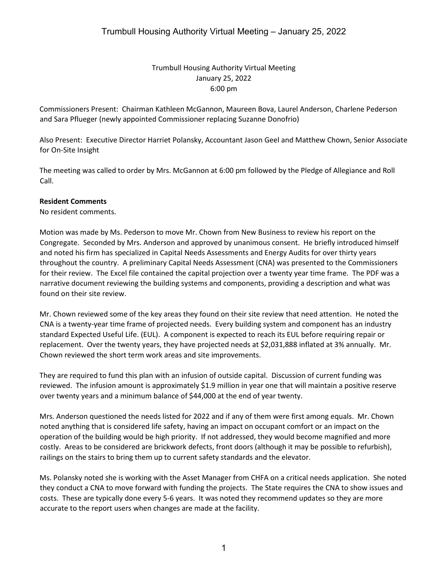Trumbull Housing Authority Virtual Meeting January 25, 2022 6:00 pm

Commissioners Present: Chairman Kathleen McGannon, Maureen Bova, Laurel Anderson, Charlene Pederson and Sara Pflueger (newly appointed Commissioner replacing Suzanne Donofrio)

Also Present: Executive Director Harriet Polansky, Accountant Jason Geel and Matthew Chown, Senior Associate for On-Site Insight

The meeting was called to order by Mrs. McGannon at 6:00 pm followed by the Pledge of Allegiance and Roll Call.

#### **Resident Comments**

No resident comments.

Motion was made by Ms. Pederson to move Mr. Chown from New Business to review his report on the Congregate. Seconded by Mrs. Anderson and approved by unanimous consent. He briefly introduced himself and noted his firm has specialized in Capital Needs Assessments and Energy Audits for over thirty years throughout the country. A preliminary Capital Needs Assessment (CNA) was presented to the Commissioners for their review. The Excel file contained the capital projection over a twenty year time frame. The PDF was a narrative document reviewing the building systems and components, providing a description and what was found on their site review.

Mr. Chown reviewed some of the key areas they found on their site review that need attention. He noted the CNA is a twenty-year time frame of projected needs. Every building system and component has an industry standard Expected Useful Life. (EUL). A component is expected to reach its EUL before requiring repair or replacement. Over the twenty years, they have projected needs at \$2,031,888 inflated at 3% annually. Mr. Chown reviewed the short term work areas and site improvements.

They are required to fund this plan with an infusion of outside capital. Discussion of current funding was reviewed. The infusion amount is approximately \$1.9 million in year one that will maintain a positive reserve over twenty years and a minimum balance of \$44,000 at the end of year twenty.

Mrs. Anderson questioned the needs listed for 2022 and if any of them were first among equals. Mr. Chown noted anything that is considered life safety, having an impact on occupant comfort or an impact on the operation of the building would be high priority. If not addressed, they would become magnified and more costly. Areas to be considered are brickwork defects, front doors (although it may be possible to refurbish), railings on the stairs to bring them up to current safety standards and the elevator.

Ms. Polansky noted she is working with the Asset Manager from CHFA on a critical needs application. She noted they conduct a CNA to move forward with funding the projects. The State requires the CNA to show issues and costs. These are typically done every 5-6 years. It was noted they recommend updates so they are more accurate to the report users when changes are made at the facility.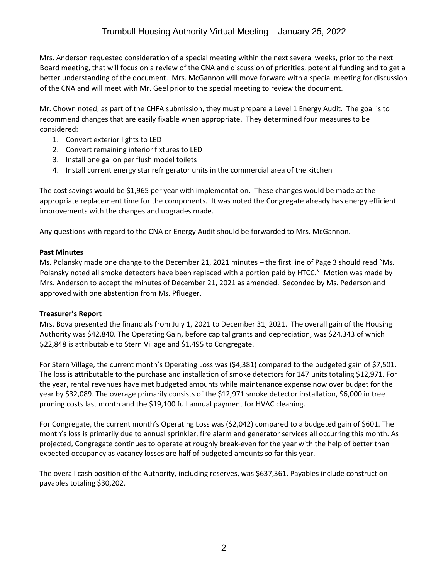Mrs. Anderson requested consideration of a special meeting within the next several weeks, prior to the next Board meeting, that will focus on a review of the CNA and discussion of priorities, potential funding and to get a better understanding of the document. Mrs. McGannon will move forward with a special meeting for discussion of the CNA and will meet with Mr. Geel prior to the special meeting to review the document.

Mr. Chown noted, as part of the CHFA submission, they must prepare a Level 1 Energy Audit. The goal is to recommend changes that are easily fixable when appropriate. They determined four measures to be considered:

- 1. Convert exterior lights to LED
- 2. Convert remaining interior fixtures to LED
- 3. Install one gallon per flush model toilets
- 4. Install current energy star refrigerator units in the commercial area of the kitchen

The cost savings would be \$1,965 per year with implementation. These changes would be made at the appropriate replacement time for the components. It was noted the Congregate already has energy efficient improvements with the changes and upgrades made.

Any questions with regard to the CNA or Energy Audit should be forwarded to Mrs. McGannon.

### **Past Minutes**

Ms. Polansky made one change to the December 21, 2021 minutes – the first line of Page 3 should read "Ms. Polansky noted all smoke detectors have been replaced with a portion paid by HTCC." Motion was made by Mrs. Anderson to accept the minutes of December 21, 2021 as amended. Seconded by Ms. Pederson and approved with one abstention from Ms. Pflueger.

### **Treasurer's Report**

Mrs. Bova presented the financials from July 1, 2021 to December 31, 2021. The overall gain of the Housing Authority was \$42,840. The Operating Gain, before capital grants and depreciation, was \$24,343 of which \$22,848 is attributable to Stern Village and \$1,495 to Congregate.

For Stern Village, the current month's Operating Loss was (\$4,381) compared to the budgeted gain of \$7,501. The loss is attributable to the purchase and installation of smoke detectors for 147 units totaling \$12,971. For the year, rental revenues have met budgeted amounts while maintenance expense now over budget for the year by \$32,089. The overage primarily consists of the \$12,971 smoke detector installation, \$6,000 in tree pruning costs last month and the \$19,100 full annual payment for HVAC cleaning.

For Congregate, the current month's Operating Loss was (\$2,042) compared to a budgeted gain of \$601. The month's loss is primarily due to annual sprinkler, fire alarm and generator services all occurring this month. As projected, Congregate continues to operate at roughly break-even for the year with the help of better than expected occupancy as vacancy losses are half of budgeted amounts so far this year.

The overall cash position of the Authority, including reserves, was \$637,361. Payables include construction payables totaling \$30,202.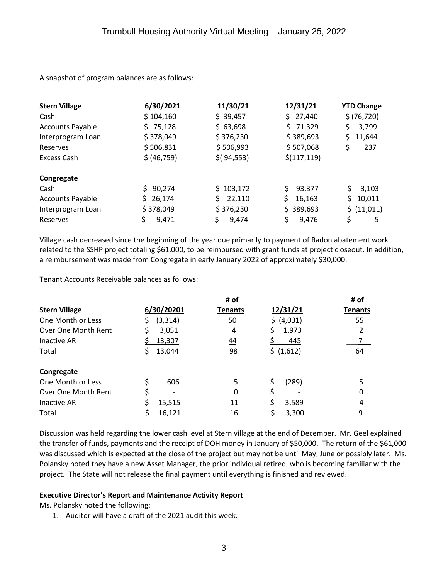A snapshot of program balances are as follows:

| <b>Stern Village</b>    | 6/30/2021    | 11/30/21     | 12/31/21      | <b>YTD Change</b> |
|-------------------------|--------------|--------------|---------------|-------------------|
| Cash                    | \$104,160    | \$39,457     | \$27,440      | \$ (76, 720)      |
| <b>Accounts Payable</b> | \$75,128     | \$63,698     | \$71,329      | \$<br>3,799       |
| Interprogram Loan       | \$378,049    | \$376,230    | \$389,693     | 11,644<br>Ś.      |
| Reserves                | \$506,831    | \$506,993    | \$507,068     | \$<br>237         |
| <b>Excess Cash</b>      | \$ (46,759)  | $$$ (94,553) | \$(117, 119)  |                   |
| Congregate              |              |              |               |                   |
| Cash                    | 90,274       | \$103,172    | Ś.<br>93,377  | Ŝ.<br>3,103       |
| <b>Accounts Payable</b> | 26,174<br>S. | 22,110<br>S. | \$.<br>16,163 | \$.<br>10,011     |
| Interprogram Loan       | \$378,049    | \$376,230    | \$389,693     | \$ (11,011)       |
| Reserves                | \$<br>9,471  | \$<br>9,474  | \$<br>9,476   | \$<br>5           |

Village cash decreased since the beginning of the year due primarily to payment of Radon abatement work related to the SSHP project totaling \$61,000, to be reimbursed with grant funds at project closeout. In addition, a reimbursement was made from Congregate in early January 2022 of approximately \$30,000.

Tenant Accounts Receivable balances as follows:

| <b>Stern Village</b> | # of            |                 |             | # of           |
|----------------------|-----------------|-----------------|-------------|----------------|
|                      | 6/30/20201      | <b>Tenants</b>  | 12/31/21    | <b>Tenants</b> |
| One Month or Less    | (3, 314)<br>\$. | 50              | \$ (4,031)  | 55             |
| Over One Month Rent  | \$<br>3,051     | 4               | \$<br>1,973 |                |
| Inactive AR          | 13,307          | $\overline{44}$ | 445         |                |
| Total                | 13,044<br>S     | 98              | \$ (1,612)  | 64             |
| Congregate           |                 |                 |             |                |
| One Month or Less    | \$<br>606       | 5               | (289)<br>\$ |                |
| Over One Month Rent  | \$              | 0               | \$          |                |
| Inactive AR          | 15,515          | <u> 11</u>      | 3,589       |                |
| Total                | 16,121          | 16              | Ş<br>3,300  | 9              |

Discussion was held regarding the lower cash level at Stern village at the end of December. Mr. Geel explained the transfer of funds, payments and the receipt of DOH money in January of \$50,000. The return of the \$61,000 was discussed which is expected at the close of the project but may not be until May, June or possibly later. Ms. Polansky noted they have a new Asset Manager, the prior individual retired, who is becoming familiar with the project. The State will not release the final payment until everything is finished and reviewed.

### **Executive Director's Report and Maintenance Activity Report**

Ms. Polansky noted the following:

1. Auditor will have a draft of the 2021 audit this week.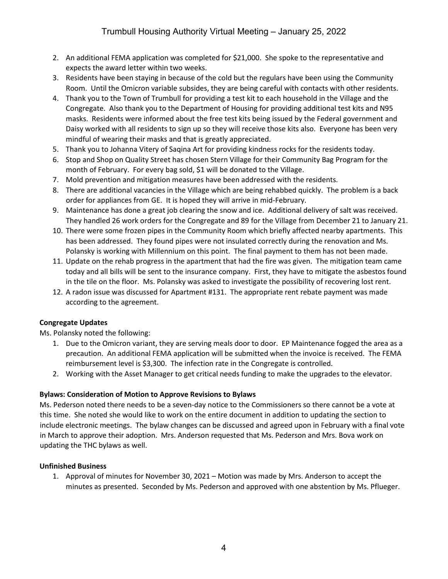- 2. An additional FEMA application was completed for \$21,000. She spoke to the representative and expects the award letter within two weeks.
- 3. Residents have been staying in because of the cold but the regulars have been using the Community Room. Until the Omicron variable subsides, they are being careful with contacts with other residents.
- 4. Thank you to the Town of Trumbull for providing a test kit to each household in the Village and the Congregate. Also thank you to the Department of Housing for providing additional test kits and N95 masks. Residents were informed about the free test kits being issued by the Federal government and Daisy worked with all residents to sign up so they will receive those kits also. Everyone has been very mindful of wearing their masks and that is greatly appreciated.
- 5. Thank you to Johanna Vitery of Saqina Art for providing kindness rocks for the residents today.
- 6. Stop and Shop on Quality Street has chosen Stern Village for their Community Bag Program for the month of February. For every bag sold, \$1 will be donated to the Village.
- 7. Mold prevention and mitigation measures have been addressed with the residents.
- 8. There are additional vacancies in the Village which are being rehabbed quickly. The problem is a back order for appliances from GE. It is hoped they will arrive in mid-February.
- 9. Maintenance has done a great job clearing the snow and ice. Additional delivery of salt was received. They handled 26 work orders for the Congregate and 89 for the Village from December 21 to January 21.
- 10. There were some frozen pipes in the Community Room which briefly affected nearby apartments. This has been addressed. They found pipes were not insulated correctly during the renovation and Ms. Polansky is working with Millennium on this point. The final payment to them has not been made.
- 11. Update on the rehab progress in the apartment that had the fire was given. The mitigation team came today and all bills will be sent to the insurance company. First, they have to mitigate the asbestos found in the tile on the floor. Ms. Polansky was asked to investigate the possibility of recovering lost rent.
- 12. A radon issue was discussed for Apartment #131. The appropriate rent rebate payment was made according to the agreement.

# **Congregate Updates**

Ms. Polansky noted the following:

- 1. Due to the Omicron variant, they are serving meals door to door. EP Maintenance fogged the area as a precaution. An additional FEMA application will be submitted when the invoice is received. The FEMA reimbursement level is \$3,300. The infection rate in the Congregate is controlled.
- 2. Working with the Asset Manager to get critical needs funding to make the upgrades to the elevator.

# **Bylaws: Consideration of Motion to Approve Revisions to Bylaws**

Ms. Pederson noted there needs to be a seven-day notice to the Commissioners so there cannot be a vote at this time. She noted she would like to work on the entire document in addition to updating the section to include electronic meetings. The bylaw changes can be discussed and agreed upon in February with a final vote in March to approve their adoption. Mrs. Anderson requested that Ms. Pederson and Mrs. Bova work on updating the THC bylaws as well.

### **Unfinished Business**

1. Approval of minutes for November 30, 2021 – Motion was made by Mrs. Anderson to accept the minutes as presented. Seconded by Ms. Pederson and approved with one abstention by Ms. Pflueger.